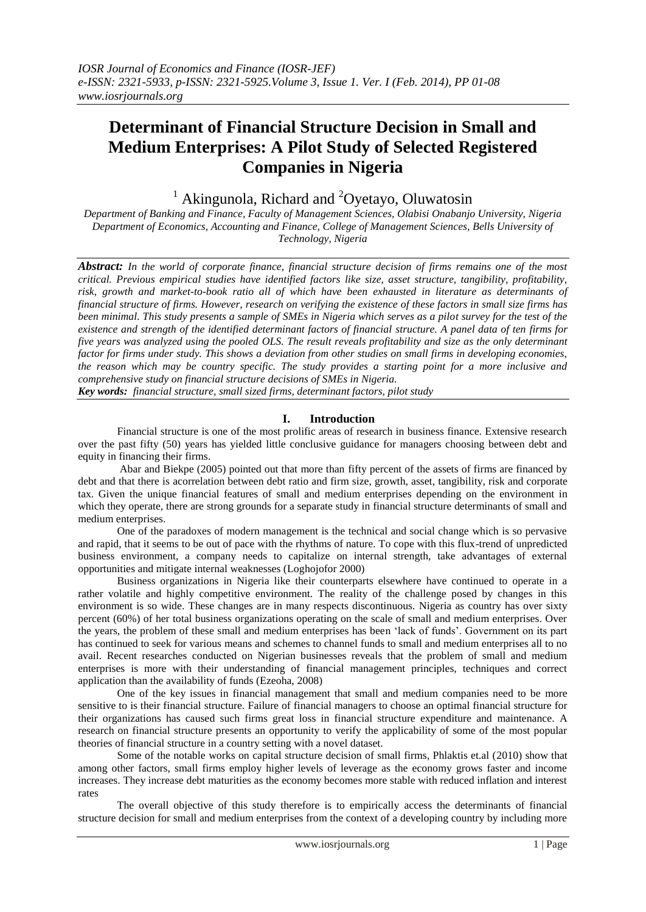# **Determinant of Financial Structure Decision in Small and Medium Enterprises: A Pilot Study of Selected Registered Companies in Nigeria**

<sup>1</sup> Akingunola, Richard and <sup>2</sup>Ovetavo, Oluwatosin

*Department of Banking and Finance, Faculty of Management Sciences, Olabisi Onabanjo University, Nigeria Department of Economics, Accounting and Finance, College of Management Sciences, Bells University of Technology, Nigeria*

*Abstract: In the world of corporate finance, financial structure decision of firms remains one of the most critical. Previous empirical studies have identified factors like size, asset structure, tangibility, profitability, risk, growth and market-to-book ratio all of which have been exhausted in literature as determinants of financial structure of firms. However, research on verifying the existence of these factors in small size firms has been minimal. This study presents a sample of SMEs in Nigeria which serves as a pilot survey for the test of the existence and strength of the identified determinant factors of financial structure. A panel data of ten firms for five years was analyzed using the pooled OLS. The result reveals profitability and size as the only determinant factor for firms under study. This shows a deviation from other studies on small firms in developing economies, the reason which may be country specific. The study provides a starting point for a more inclusive and comprehensive study on financial structure decisions of SMEs in Nigeria.*

*Key words: financial structure, small sized firms, determinant factors, pilot study*

## **I. Introduction**

Financial structure is one of the most prolific areas of research in business finance. Extensive research over the past fifty (50) years has yielded little conclusive guidance for managers choosing between debt and equity in financing their firms.

 Abar and Biekpe (2005) pointed out that more than fifty percent of the assets of firms are financed by debt and that there is acorrelation between debt ratio and firm size, growth, asset, tangibility, risk and corporate tax. Given the unique financial features of small and medium enterprises depending on the environment in which they operate, there are strong grounds for a separate study in financial structure determinants of small and medium enterprises.

 One of the paradoxes of modern management is the technical and social change which is so pervasive and rapid, that it seems to be out of pace with the rhythms of nature. To cope with this flux-trend of unpredicted business environment, a company needs to capitalize on internal strength, take advantages of external opportunities and mitigate internal weaknesses (Loghojofor 2000)

 Business organizations in Nigeria like their counterparts elsewhere have continued to operate in a rather volatile and highly competitive environment. The reality of the challenge posed by changes in this environment is so wide. These changes are in many respects discontinuous. Nigeria as country has over sixty percent (60%) of her total business organizations operating on the scale of small and medium enterprises. Over the years, the problem of these small and medium enterprises has been 'lack of funds'. Government on its part has continued to seek for various means and schemes to channel funds to small and medium enterprises all to no avail. Recent researches conducted on Nigerian businesses reveals that the problem of small and medium enterprises is more with their understanding of financial management principles, techniques and correct application than the availability of funds (Ezeoha, 2008)

 One of the key issues in financial management that small and medium companies need to be more sensitive to is their financial structure. Failure of financial managers to choose an optimal financial structure for their organizations has caused such firms great loss in financial structure expenditure and maintenance. A research on financial structure presents an opportunity to verify the applicability of some of the most popular theories of financial structure in a country setting with a novel dataset.

 Some of the notable works on capital structure decision of small firms, Phlaktis et.al (2010) show that among other factors, small firms employ higher levels of leverage as the economy grows faster and income increases. They increase debt maturities as the economy becomes more stable with reduced inflation and interest rates

The overall objective of this study therefore is to empirically access the determinants of financial structure decision for small and medium enterprises from the context of a developing country by including more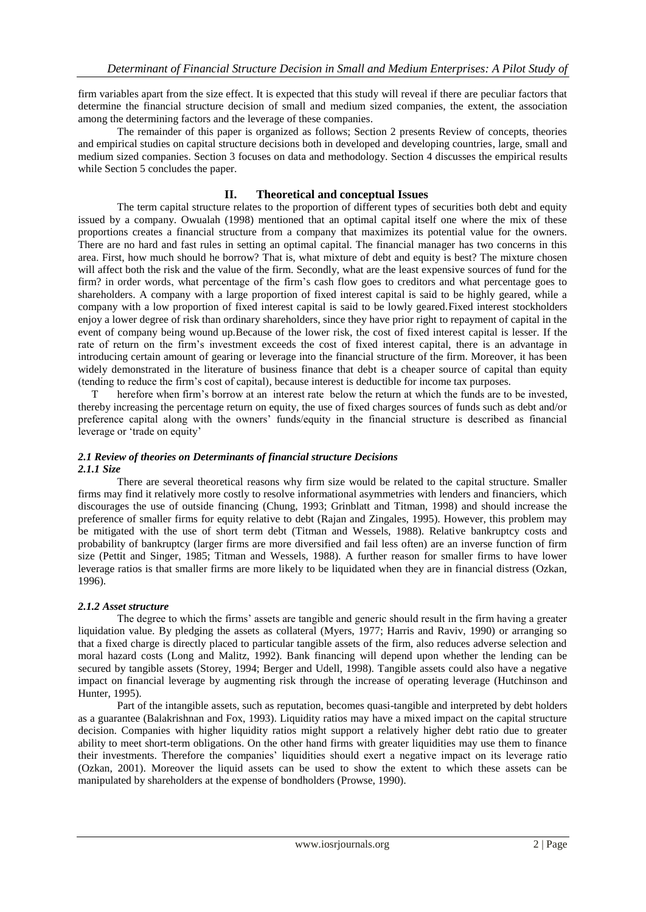firm variables apart from the size effect. It is expected that this study will reveal if there are peculiar factors that determine the financial structure decision of small and medium sized companies, the extent, the association among the determining factors and the leverage of these companies.

 The remainder of this paper is organized as follows; Section 2 presents Review of concepts, theories and empirical studies on capital structure decisions both in developed and developing countries, large, small and medium sized companies. Section 3 focuses on data and methodology. Section 4 discusses the empirical results while Section 5 concludes the paper.

## **II. Theoretical and conceptual Issues**

The term capital structure relates to the proportion of different types of securities both debt and equity issued by a company. Owualah (1998) mentioned that an optimal capital itself one where the mix of these proportions creates a financial structure from a company that maximizes its potential value for the owners. There are no hard and fast rules in setting an optimal capital. The financial manager has two concerns in this area. First, how much should he borrow? That is, what mixture of debt and equity is best? The mixture chosen will affect both the risk and the value of the firm. Secondly, what are the least expensive sources of fund for the firm? in order words, what percentage of the firm's cash flow goes to creditors and what percentage goes to shareholders. A company with a large proportion of fixed interest capital is said to be highly geared, while a company with a low proportion of fixed interest capital is said to be lowly geared.Fixed interest stockholders enjoy a lower degree of risk than ordinary shareholders, since they have prior right to repayment of capital in the event of company being wound up.Because of the lower risk, the cost of fixed interest capital is lesser. If the rate of return on the firm's investment exceeds the cost of fixed interest capital, there is an advantage in introducing certain amount of gearing or leverage into the financial structure of the firm. Moreover, it has been widely demonstrated in the literature of business finance that debt is a cheaper source of capital than equity (tending to reduce the firm's cost of capital), because interest is deductible for income tax purposes.

 T herefore when firm's borrow at an interest rate below the return at which the funds are to be invested, thereby increasing the percentage return on equity, the use of fixed charges sources of funds such as debt and/or preference capital along with the owners' funds/equity in the financial structure is described as financial leverage or 'trade on equity'

## *2.1 Review of theories on Determinants of financial structure Decisions 2.1.1 Size*

There are several theoretical reasons why firm size would be related to the capital structure. Smaller firms may find it relatively more costly to resolve informational asymmetries with lenders and financiers, which discourages the use of outside financing (Chung, 1993; Grinblatt and Titman, 1998) and should increase the preference of smaller firms for equity relative to debt (Rajan and Zingales, 1995). However, this problem may be mitigated with the use of short term debt (Titman and Wessels, 1988). Relative bankruptcy costs and probability of bankruptcy (larger firms are more diversified and fail less often) are an inverse function of firm size (Pettit and Singer, 1985; Titman and Wessels, 1988). A further reason for smaller firms to have lower leverage ratios is that smaller firms are more likely to be liquidated when they are in financial distress (Ozkan, 1996).

## *2.1.2 Asset structure*

The degree to which the firms' assets are tangible and generic should result in the firm having a greater liquidation value. By pledging the assets as collateral (Myers, 1977; Harris and Raviv, 1990) or arranging so that a fixed charge is directly placed to particular tangible assets of the firm, also reduces adverse selection and moral hazard costs (Long and Malitz, 1992). Bank financing will depend upon whether the lending can be secured by tangible assets (Storey, 1994; Berger and Udell, 1998). Tangible assets could also have a negative impact on financial leverage by augmenting risk through the increase of operating leverage (Hutchinson and Hunter, 1995).

 Part of the intangible assets, such as reputation, becomes quasi-tangible and interpreted by debt holders as a guarantee (Balakrishnan and Fox, 1993). Liquidity ratios may have a mixed impact on the capital structure decision. Companies with higher liquidity ratios might support a relatively higher debt ratio due to greater ability to meet short-term obligations. On the other hand firms with greater liquidities may use them to finance their investments. Therefore the companies' liquidities should exert a negative impact on its leverage ratio (Ozkan, 2001). Moreover the liquid assets can be used to show the extent to which these assets can be manipulated by shareholders at the expense of bondholders (Prowse, 1990).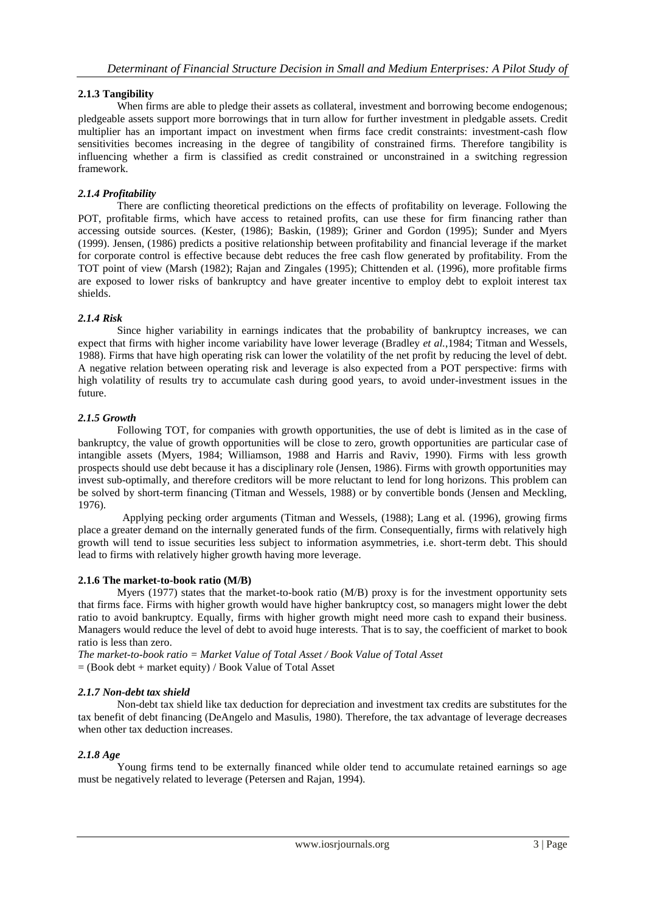## **2.1.3 Tangibility**

When firms are able to pledge their assets as collateral, investment and borrowing become endogenous; pledgeable assets support more borrowings that in turn allow for further investment in pledgable assets. Credit multiplier has an important impact on investment when firms face credit constraints: investment-cash flow sensitivities becomes increasing in the degree of tangibility of constrained firms. Therefore tangibility is influencing whether a firm is classified as credit constrained or unconstrained in a switching regression framework.

## *2.1.4 Profitability*

There are conflicting theoretical predictions on the effects of profitability on leverage. Following the POT, profitable firms, which have access to retained profits, can use these for firm financing rather than accessing outside sources. (Kester, (1986); Baskin, (1989); Griner and Gordon (1995); Sunder and Myers (1999). Jensen, (1986) predicts a positive relationship between profitability and financial leverage if the market for corporate control is effective because debt reduces the free cash flow generated by profitability. From the TOT point of view (Marsh (1982); Rajan and Zingales (1995); Chittenden et al. (1996), more profitable firms are exposed to lower risks of bankruptcy and have greater incentive to employ debt to exploit interest tax shields.

## *2.1.4 Risk*

Since higher variability in earnings indicates that the probability of bankruptcy increases, we can expect that firms with higher income variability have lower leverage (Bradley *et al.*,1984; Titman and Wessels, 1988). Firms that have high operating risk can lower the volatility of the net profit by reducing the level of debt. A negative relation between operating risk and leverage is also expected from a POT perspective: firms with high volatility of results try to accumulate cash during good years, to avoid under-investment issues in the future.

## *2.1.5 Growth*

Following TOT, for companies with growth opportunities, the use of debt is limited as in the case of bankruptcy, the value of growth opportunities will be close to zero, growth opportunities are particular case of intangible assets (Myers, 1984; Williamson, 1988 and Harris and Raviv, 1990). Firms with less growth prospects should use debt because it has a disciplinary role (Jensen, 1986). Firms with growth opportunities may invest sub-optimally, and therefore creditors will be more reluctant to lend for long horizons. This problem can be solved by short-term financing (Titman and Wessels, 1988) or by convertible bonds (Jensen and Meckling, 1976).

 Applying pecking order arguments (Titman and Wessels, (1988); Lang et al. (1996), growing firms place a greater demand on the internally generated funds of the firm. Consequentially, firms with relatively high growth will tend to issue securities less subject to information asymmetries, i.e. short-term debt. This should lead to firms with relatively higher growth having more leverage.

#### **2.1.6 The market-to-book ratio (M/B)**

Myers (1977) states that the market-to-book ratio (M/B) proxy is for the investment opportunity sets that firms face. Firms with higher growth would have higher bankruptcy cost, so managers might lower the debt ratio to avoid bankruptcy. Equally, firms with higher growth might need more cash to expand their business. Managers would reduce the level of debt to avoid huge interests. That is to say, the coefficient of market to book ratio is less than zero.

*The market-to-book ratio = Market Value of Total Asset / Book Value of Total Asset* = (Book debt + market equity) / Book Value of Total Asset

#### *2.1.7 Non-debt tax shield*

Non-debt tax shield like tax deduction for depreciation and investment tax credits are substitutes for the tax benefit of debt financing (DeAngelo and Masulis, 1980). Therefore, the tax advantage of leverage decreases when other tax deduction increases.

#### *2.1.8 Age*

Young firms tend to be externally financed while older tend to accumulate retained earnings so age must be negatively related to leverage (Petersen and Rajan, 1994).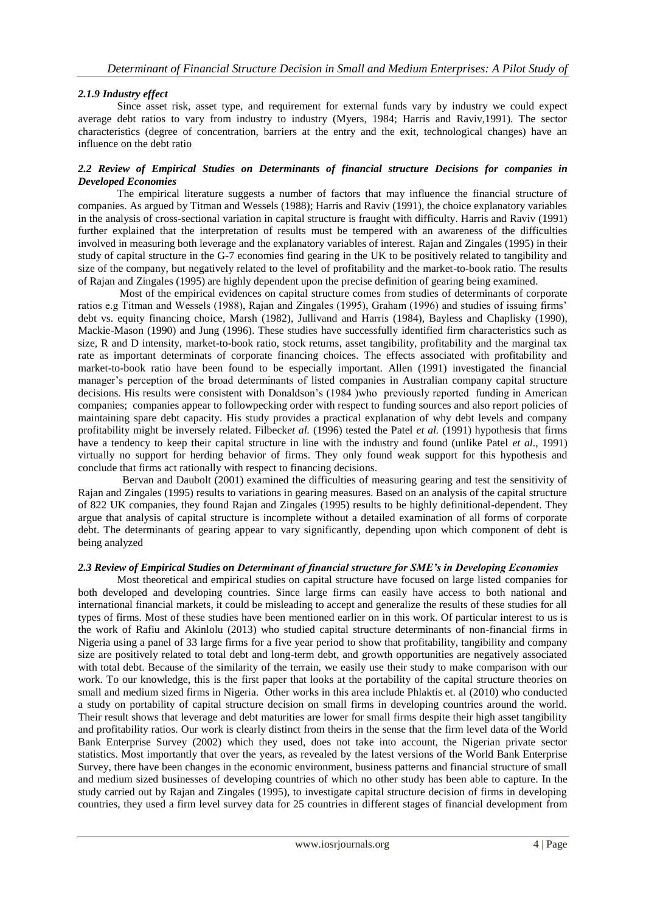## *2.1.9 Industry effect*

Since asset risk, asset type, and requirement for external funds vary by industry we could expect average debt ratios to vary from industry to industry (Myers, 1984; Harris and Raviv,1991). The sector characteristics (degree of concentration, barriers at the entry and the exit, technological changes) have an influence on the debt ratio

## *2.2 Review of Empirical Studies on Determinants of financial structure Decisions for companies in Developed Economies*

The empirical literature suggests a number of factors that may influence the financial structure of companies. As argued by Titman and Wessels (1988); Harris and Raviv (1991), the choice explanatory variables in the analysis of cross-sectional variation in capital structure is fraught with difficulty. Harris and Raviv (1991) further explained that the interpretation of results must be tempered with an awareness of the difficulties involved in measuring both leverage and the explanatory variables of interest. Rajan and Zingales (1995) in their study of capital structure in the G-7 economies find gearing in the UK to be positively related to tangibility and size of the company, but negatively related to the level of profitability and the market-to-book ratio. The results of Rajan and Zingales (1995) are highly dependent upon the precise definition of gearing being examined.

 Most of the empirical evidences on capital structure comes from studies of determinants of corporate ratios e.g Titman and Wessels (1988), Rajan and Zingales (1995), Graham (1996) and studies of issuing firms' debt vs. equity financing choice, Marsh (1982), Jullivand and Harris (1984), Bayless and Chaplisky (1990), Mackie-Mason (1990) and Jung (1996). These studies have successfully identified firm characteristics such as size, R and D intensity, market-to-book ratio, stock returns, asset tangibility, profitability and the marginal tax rate as important determinats of corporate financing choices. The effects associated with profitability and market-to-book ratio have been found to be especially important. Allen (1991) investigated the financial manager's perception of the broad determinants of listed companies in Australian company capital structure decisions. His results were consistent with Donaldson's (1984 )who previously reported funding in American companies; companies appear to followpecking order with respect to funding sources and also report policies of maintaining spare debt capacity. His study provides a practical explanation of why debt levels and company profitability might be inversely related. Filbeck*et al.* (1996) tested the Patel *et al.* (1991) hypothesis that firms have a tendency to keep their capital structure in line with the industry and found (unlike Patel *et al*., 1991) virtually no support for herding behavior of firms. They only found weak support for this hypothesis and conclude that firms act rationally with respect to financing decisions.

 Bervan and Daubolt (2001) examined the difficulties of measuring gearing and test the sensitivity of Rajan and Zingales (1995) results to variations in gearing measures. Based on an analysis of the capital structure of 822 UK companies, they found Rajan and Zingales (1995) results to be highly definitional-dependent. They argue that analysis of capital structure is incomplete without a detailed examination of all forms of corporate debt. The determinants of gearing appear to vary significantly, depending upon which component of debt is being analyzed

#### *2.3 Review of Empirical Studies on Determinant of financial structure for SME's in Developing Economies*

Most theoretical and empirical studies on capital structure have focused on large listed companies for both developed and developing countries. Since large firms can easily have access to both national and international financial markets, it could be misleading to accept and generalize the results of these studies for all types of firms. Most of these studies have been mentioned earlier on in this work. Of particular interest to us is the work of Rafiu and Akinlolu (2013) who studied capital structure determinants of non-financial firms in Nigeria using a panel of 33 large firms for a five year period to show that profitability, tangibility and company size are positively related to total debt and long-term debt, and growth opportunities are negatively associated with total debt. Because of the similarity of the terrain, we easily use their study to make comparison with our work. To our knowledge, this is the first paper that looks at the portability of the capital structure theories on small and medium sized firms in Nigeria. Other works in this area include Phlaktis et. al (2010) who conducted a study on portability of capital structure decision on small firms in developing countries around the world. Their result shows that leverage and debt maturities are lower for small firms despite their high asset tangibility and profitability ratios. Our work is clearly distinct from theirs in the sense that the firm level data of the World Bank Enterprise Survey (2002) which they used, does not take into account, the Nigerian private sector statistics. Most importantly that over the years, as revealed by the latest versions of the World Bank Enterprise Survey, there have been changes in the economic environment, business patterns and financial structure of small and medium sized businesses of developing countries of which no other study has been able to capture. In the study carried out by Rajan and Zingales (1995), to investigate capital structure decision of firms in developing countries, they used a firm level survey data for 25 countries in different stages of financial development from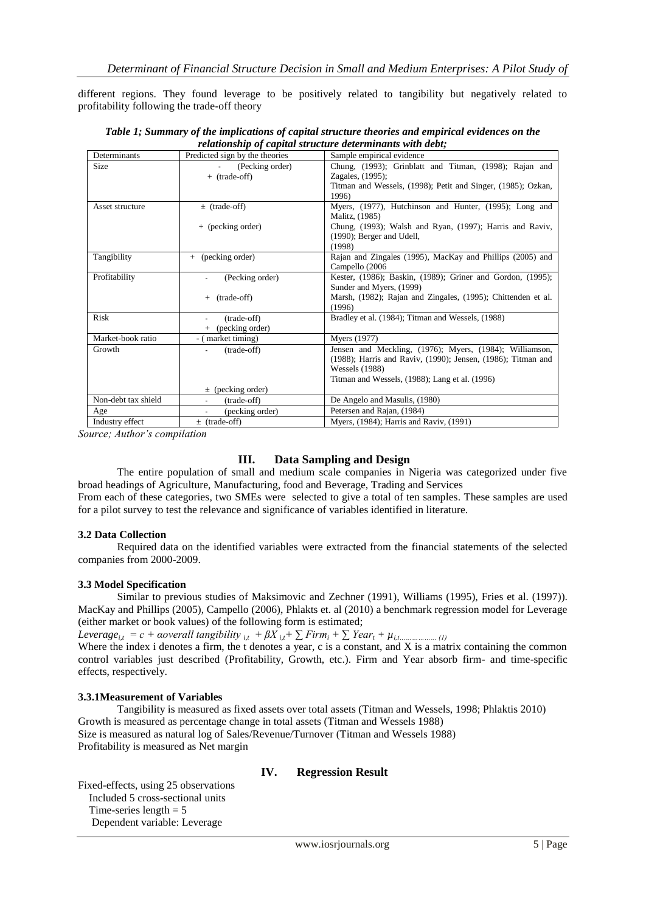different regions. They found leverage to be positively related to tangibility but negatively related to profitability following the trade-off theory

| Determinants        | Predicted sign by the theories | Sample empirical evidence                                    |
|---------------------|--------------------------------|--------------------------------------------------------------|
| <b>Size</b>         | (Pecking order)                | Chung, (1993); Grinblatt and Titman, (1998); Rajan and       |
|                     | + (trade-off)                  | Zagales, (1995);                                             |
|                     |                                | Titman and Wessels, (1998); Petit and Singer, (1985); Ozkan, |
|                     |                                | 1996                                                         |
| Asset structure     | $\pm$ (trade-off)              | Myers, (1977), Hutchinson and Hunter, (1995); Long and       |
|                     |                                | Malitz, (1985)                                               |
|                     | + (pecking order)              | Chung, (1993); Walsh and Ryan, (1997); Harris and Raviv,     |
|                     |                                | $(1990)$ ; Berger and Udell,                                 |
|                     |                                | (1998)                                                       |
| Tangibility         | (pecking order)<br>$+$         | Rajan and Zingales (1995), MacKay and Phillips (2005) and    |
|                     |                                | Campello (2006)                                              |
| Profitability       | (Pecking order)                | Kester, (1986); Baskin, (1989); Griner and Gordon, (1995);   |
|                     |                                | Sunder and Myers, (1999)                                     |
|                     | (trade-off)<br>$+$             | Marsh, (1982); Rajan and Zingales, (1995); Chittenden et al. |
|                     |                                | (1996)                                                       |
| Risk                | (trade-off)                    | Bradley et al. (1984); Titman and Wessels, (1988)            |
|                     | + (pecking order)              |                                                              |
| Market-book ratio   | - (market timing)              | Myers (1977)                                                 |
| Growth              | (trade-off)                    | Jensen and Meckling, (1976); Myers, (1984); Williamson,      |
|                     |                                | (1988); Harris and Raviv, (1990); Jensen, (1986); Titman and |
|                     |                                | <b>Wessels</b> (1988)                                        |
|                     |                                | Titman and Wessels, (1988); Lang et al. (1996)               |
|                     | $\pm$ (pecking order)          |                                                              |
| Non-debt tax shield | (trade-off)                    | De Angelo and Masulis, (1980)                                |
| Age                 | (pecking order)                | Petersen and Rajan, (1984)                                   |
| Industry effect     | $\pm$ (trade-off)              | Myers, (1984); Harris and Raviv, (1991)                      |

*Table 1; Summary of the implications of capital structure theories and empirical evidences on the relationship of capital structure determinants with debt;*

*Source; Author's compilation* 

## **III. Data Sampling and Design**

The entire population of small and medium scale companies in Nigeria was categorized under five broad headings of Agriculture, Manufacturing, food and Beverage, Trading and Services

From each of these categories, two SMEs were selected to give a total of ten samples. These samples are used for a pilot survey to test the relevance and significance of variables identified in literature.

#### **3.2 Data Collection**

Required data on the identified variables were extracted from the financial statements of the selected companies from 2000-2009.

#### **3.3 Model Specification**

Similar to previous studies of Maksimovic and Zechner (1991), Williams (1995), Fries et al. (1997)). MacKay and Phillips (2005), Campello (2006), Phlakts et. al (2010) a benchmark regression model for Leverage (either market or book values) of the following form is estimated;

*Leverage*<sub>*i,t*</sub> = c + aoverall tangibility  $_{i,t}$  +  $\beta X_{i,t}$ +  $\sum$  Firm<sub>*i*</sub> +  $\sum$  Year<sub>*t*</sub> +  $\mu$ <sub>*i,t………………* (1)</sub> Where the index i denotes a firm, the t denotes a year, c is a constant, and X is a matrix containing the common control variables just described (Profitability, Growth, etc.). Firm and Year absorb firm- and time-specific effects, respectively.

#### **3.3.1Measurement of Variables**

Tangibility is measured as fixed assets over total assets (Titman and Wessels, 1998; Phlaktis 2010) Growth is measured as percentage change in total assets (Titman and Wessels 1988) Size is measured as natural log of Sales/Revenue/Turnover (Titman and Wessels 1988) Profitability is measured as Net margin

## **IV. Regression Result**

Fixed-effects, using 25 observations Included 5 cross-sectional units Time-series length  $= 5$ Dependent variable: Leverage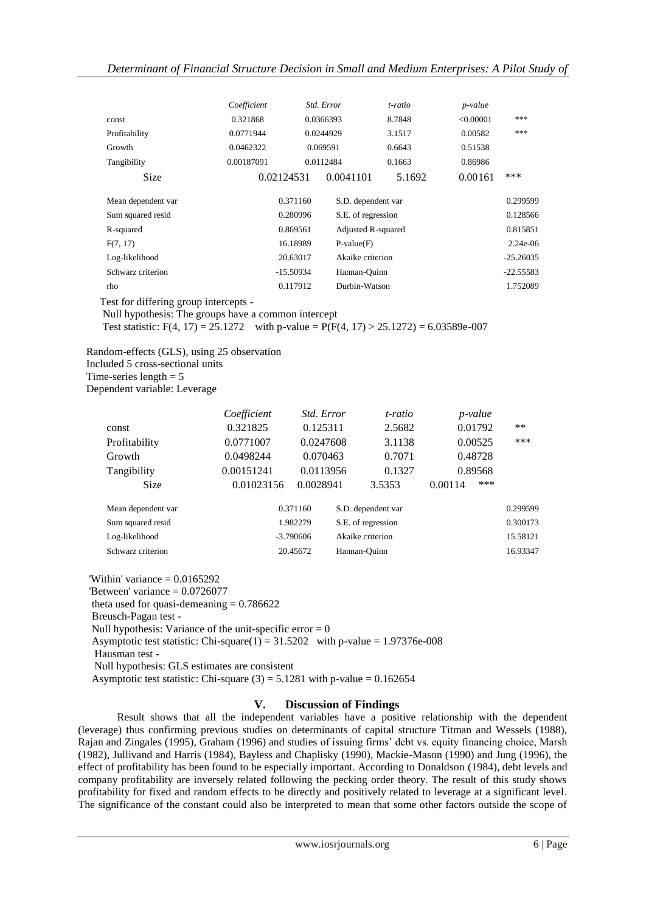|                    | Coefficient |             | Std. Error                | t-ratio | <i>p</i> -value |             |  |
|--------------------|-------------|-------------|---------------------------|---------|-----------------|-------------|--|
| const              | 0.321868    |             | 0.0366393                 | 8.7848  | < 0.00001       | ***         |  |
| Profitability      | 0.0771944   |             | 0.0244929                 | 3.1517  | 0.00582         | ***         |  |
| Growth             | 0.0462322   |             | 0.069591                  | 0.6643  | 0.51538         |             |  |
| Tangibility        | 0.00187091  |             | 0.0112484                 | 0.1663  | 0.86986         |             |  |
| <b>Size</b>        | 0.02124531  |             | 0.0041101                 | 5.1692  | 0.00161         | ***         |  |
| Mean dependent var |             | 0.371160    | S.D. dependent var        |         |                 | 0.299599    |  |
| Sum squared resid  |             | 0.280996    | S.E. of regression        |         |                 | 0.128566    |  |
| R-squared          |             | 0.869561    | <b>Adjusted R-squared</b> |         |                 | 0.815851    |  |
| F(7, 17)           |             | 16.18989    | $P-value(F)$              |         |                 | $2.24e-06$  |  |
| Log-likelihood     |             | 20.63017    | Akaike criterion          |         |                 | $-25.26035$ |  |
| Schwarz criterion  |             | $-15.50934$ | Hannan-Quinn              |         |                 | $-22.55583$ |  |
| rho                |             | 0.117912    | Durbin-Watson             |         |                 | 1.752089    |  |
|                    |             |             |                           |         |                 |             |  |

Test for differing group intercepts -

Null hypothesis: The groups have a common intercept

Test statistic: F(4, 17) = 25.1272 with p-value =  $P(F(4, 17) > 25.1272) = 6.03589e-007$ 

Random-effects (GLS), using 25 observation

 Included 5 cross-sectional units Time-series length  $= 5$ 

Dependent variable: Leverage

|                    | Coefficient | <i>Std. Error</i> |          | t-ratio            |         | p-value |          |
|--------------------|-------------|-------------------|----------|--------------------|---------|---------|----------|
| const              | 0.321825    |                   | 0.125311 |                    | 2.5682  | 0.01792 | $***$    |
| Profitability      | 0.0771007   | 0.0247608         |          | 3.1138             |         | 0.00525 | ***      |
| Growth             | 0.0498244   | 0.070463          |          | 0.7071             |         | 0.48728 |          |
| Tangibility        | 0.00151241  | 0.0113956         |          | 0.1327             |         | 0.89568 |          |
| <b>Size</b>        | 0.01023156  | 0.0028941         |          | 3.5353             | 0.00114 | ***     |          |
| Mean dependent var |             | 0.371160          |          | S.D. dependent var |         |         | 0.299599 |
| Sum squared resid  |             | 1.982279          |          | S.E. of regression |         |         | 0.300173 |
| Log-likelihood     |             | $-3.790606$       |          | Akaike criterion   |         |         | 15.58121 |
| Schwarz criterion  |             | 20.45672          |          | Hannan-Ouinn       |         |         | 16.93347 |

'Within' variance  $= 0.0165292$ 

'Between' variance  $= 0.0726077$ 

theta used for quasi-demeaning  $= 0.786622$ 

Breusch-Pagan test -

Null hypothesis: Variance of the unit-specific error  $= 0$ 

Asymptotic test statistic: Chi-square(1) =  $31.5202$  with p-value =  $1.97376e-008$ 

Hausman test -

Null hypothesis: GLS estimates are consistent

Asymptotic test statistic: Chi-square  $(3) = 5.1281$  with p-value = 0.162654

## **V. Discussion of Findings**

Result shows that all the independent variables have a positive relationship with the dependent (leverage) thus confirming previous studies on determinants of capital structure Titman and Wessels (1988), Rajan and Zingales (1995), Graham (1996) and studies of issuing firms' debt vs. equity financing choice, Marsh (1982), Jullivand and Harris (1984), Bayless and Chaplisky (1990), Mackie-Mason (1990) and Jung (1996), the effect of profitability has been found to be especially important. According to Donaldson (1984), debt levels and company profitability are inversely related following the pecking order theory. The result of this study shows profitability for fixed and random effects to be directly and positively related to leverage at a significant level. The significance of the constant could also be interpreted to mean that some other factors outside the scope of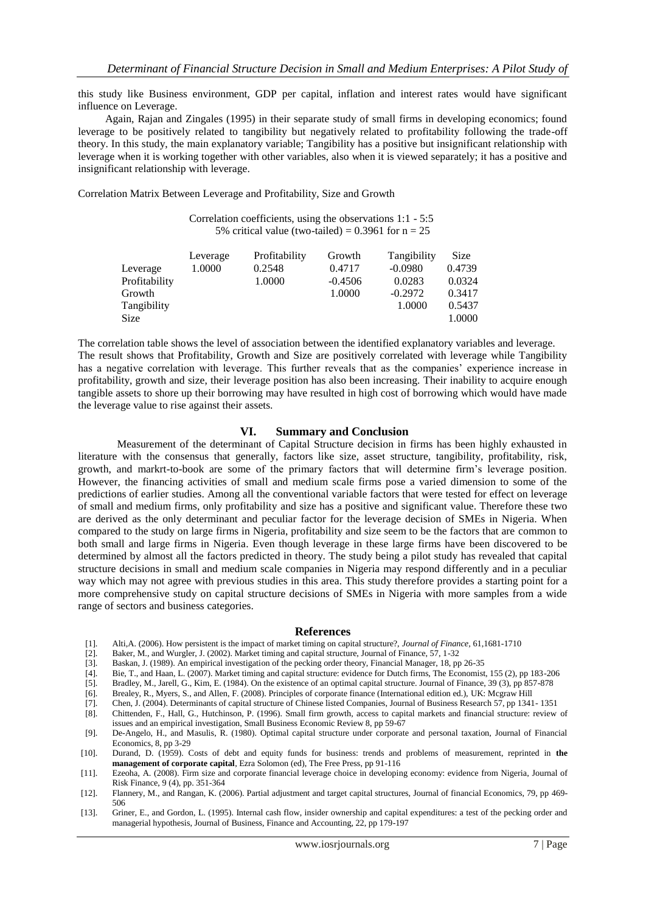this study like Business environment, GDP per capital, inflation and interest rates would have significant influence on Leverage.

 Again, Rajan and Zingales (1995) in their separate study of small firms in developing economics; found leverage to be positively related to tangibility but negatively related to profitability following the trade-off theory. In this study, the main explanatory variable; Tangibility has a positive but insignificant relationship with leverage when it is working together with other variables, also when it is viewed separately; it has a positive and insignificant relationship with leverage.

Correlation Matrix Between Leverage and Profitability, Size and Growth

 Correlation coefficients, using the observations 1:1 - 5:5 5% critical value (two-tailed) =  $0.3961$  for  $n = 25$ 

|               | Leverage | Profitability | Growth    | Tangibility | Size   |
|---------------|----------|---------------|-----------|-------------|--------|
| Leverage      | 1.0000   | 0.2548        | 0.4717    | $-0.0980$   | 0.4739 |
| Profitability |          | 1.0000        | $-0.4506$ | 0.0283      | 0.0324 |
| Growth        |          |               | 1.0000    | $-0.2972$   | 0.3417 |
| Tangibility   |          |               |           | 1.0000      | 0.5437 |
| <b>Size</b>   |          |               |           |             | 1.0000 |

The correlation table shows the level of association between the identified explanatory variables and leverage. The result shows that Profitability, Growth and Size are positively correlated with leverage while Tangibility has a negative correlation with leverage. This further reveals that as the companies' experience increase in profitability, growth and size, their leverage position has also been increasing. Their inability to acquire enough tangible assets to shore up their borrowing may have resulted in high cost of borrowing which would have made the leverage value to rise against their assets.

#### **VI. Summary and Conclusion**

Measurement of the determinant of Capital Structure decision in firms has been highly exhausted in literature with the consensus that generally, factors like size, asset structure, tangibility, profitability, risk, growth, and markrt-to-book are some of the primary factors that will determine firm's leverage position. However, the financing activities of small and medium scale firms pose a varied dimension to some of the predictions of earlier studies. Among all the conventional variable factors that were tested for effect on leverage of small and medium firms, only profitability and size has a positive and significant value. Therefore these two are derived as the only determinant and peculiar factor for the leverage decision of SMEs in Nigeria. When compared to the study on large firms in Nigeria, profitability and size seem to be the factors that are common to both small and large firms in Nigeria. Even though leverage in these large firms have been discovered to be determined by almost all the factors predicted in theory. The study being a pilot study has revealed that capital structure decisions in small and medium scale companies in Nigeria may respond differently and in a peculiar way which may not agree with previous studies in this area. This study therefore provides a starting point for a more comprehensive study on capital structure decisions of SMEs in Nigeria with more samples from a wide range of sectors and business categories.

#### **References**

- [1]. Alti,A. (2006). How persistent is the impact of market timing on capital structure?, *Journal of Finance,* 61,1681-1710
- [2]. Baker, M., and Wurgler, J. (2002). Market timing and capital structure, Journal of Finance, 57, 1-32
- [3]. Baskan, J. (1989). An empirical investigation of the pecking order theory, Financial Manager, 18, pp 26-35
- [4]. Bie, T., and Haan, L. (2007). Market timing and capital structure: evidence for Dutch firms, The Economist, 155 (2), pp 183-206
- [5]. Bradley, M., Jarell, G., Kim, E. (1984). On the existence of an optimal capital structure. Journal of Finance, 39 (3), pp 857-878
- [6]. Brealey, R., Myers, S., and Allen, F. (2008). Principles of corporate finance (International edition ed.), UK: Mcgraw Hill
- [7]. Chen, J. (2004). Determinants of capital structure of Chinese listed Companies, Journal of Business Research 57, pp 1341- 1351
- [8]. Chittenden, F., Hall, G., Hutchinson, P. (1996). Small firm growth, access to capital markets and financial structure: review of issues and an empirical investigation, Small Business Economic Review 8, pp 59-67
- [9]. De-Angelo, H., and Masulis, R. (1980). Optimal capital structure under corporate and personal taxation, Journal of Financial Economics, 8, pp 3-29
- [10]. Durand, D. (1959). Costs of debt and equity funds for business: trends and problems of measurement, reprinted in **the management of corporate capital**, Ezra Solomon (ed), The Free Press, pp 91-116
- [11]. Ezeoha, A. (2008). Firm size and corporate financial leverage choice in developing economy: evidence from Nigeria, Journal of Risk Finance, 9 (4), pp. 351-364
- [12]. Flannery, M., and Rangan, K. (2006). Partial adjustment and target capital structures, Journal of financial Economics, 79, pp 469- 506
- [13]. Griner, E., and Gordon, L. (1995). Internal cash flow, insider ownership and capital expenditures: a test of the pecking order and managerial hypothesis, Journal of Business, Finance and Accounting, 22, pp 179-197